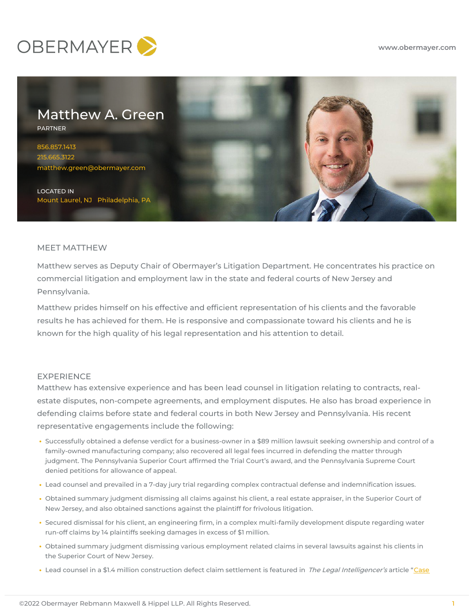



# MEET MATTHEW

Matthew serves as Deputy Chair of Obermayer's Litigation Department. He concentrates his practice on commercial litigation and employment law in the state and federal courts of New Jersey and Pennsylvania.

Matthew prides himself on his effective and efficient representation of his clients and the favorable results he has achieved for them. He is responsive and compassionate toward his clients and he is known for the high quality of his legal representation and his attention to detail.

# EXPERIENCE

Matthew has extensive experience and has been lead counsel in litigation relating to contracts, realestate disputes, non-compete agreements, and employment disputes. He also has broad experience in defending claims before state and federal courts in both New Jersey and Pennsylvania. His recent representative engagements include the following:

- Successfully obtained a defense verdict for a business-owner in a \$89 million lawsuit seeking ownership and control of a family-owned manufacturing company; also recovered all legal fees incurred in defending the matter through judgment. The Pennsylvania Superior Court affirmed the Trial Court's award, and the Pennsylvania Supreme Court denied petitions for allowance of appeal.
- Lead counsel and prevailed in a 7-day jury trial regarding complex contractual defense and indemnification issues.
- Obtained summary judgment dismissing all claims against his client, a real estate appraiser, in the Superior Court of New Jersey, and also obtained sanctions against the plaintiff for frivolous litigation.
- Secured dismissal for his client, an engineering firm, in a complex multi-family development dispute regarding water run-off claims by 14 plaintiffs seeking damages in excess of \$1 million.
- Obtained summary judgment dismissing various employment related claims in several lawsuits against his clients in the Superior Court of New Jersey.
- Lead counsel in a \$1.4 million construction defect claim settlement is featured in The Legal [Intelligencer's](https://www.law.com/thelegalintelligencer/almID/1202583368504/case-over-alleged-defects-at-condos-is-settled/) article "Case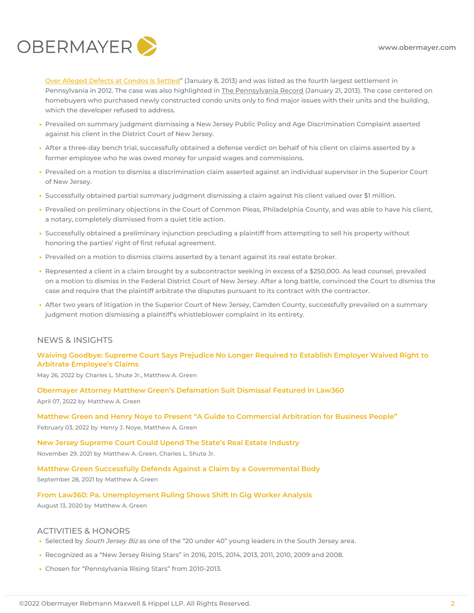

Over Alleged Defects at Condos Is Settled" (January 8, 2013) and was listed as the fourth largest settlement in Pennsylvania in 2012. The case was also highlighted in The Pennsylvania Record (January 21, 2013). The case centered on homebuyers who purchased newly constructed condo units only to find major issues with their units and the building, which the developer refused to address.

- Prevailed on summary judgment dismissing a New Jersey Public Policy and Age Discrimination Complaint asserted against his client in the District Court of New Jersey.
- After a three-day bench trial, successfully obtained a defense verdict on behalf of his client on claims asserted by a former employee who he was owed money for unpaid wages and commissions.
- Prevailed on a motion to dismiss a discrimination claim asserted against an individual supervisor in the Superior Court of New Jersey.
- Successfully obtained partial summary judgment dismissing a claim against his client valued over \$1 million.
- Prevailed on preliminary objections in the Court of Common Pleas, Philadelphia County, and was able to have his client, a notary, completely dismissed from a quiet title action.
- Successfully obtained a preliminary injunction precluding a plaintiff from attempting to sell his property without honoring the parties' right of first refusal agreement.
- Prevailed on a motion to dismiss claims asserted by a tenant against its real estate broker.
- Represented a client in a claim brought by a subcontractor seeking in excess of a \$250,000. As lead counsel, prevailed on a motion to dismiss in the Federal District Court of New Jersey. After a long battle, convinced the Court to dismiss the case and require that the plaintiff arbitrate the disputes pursuant to its contract with the contractor.
- After two years of litigation in the Superior Court of New Jersey, Camden County, successfully prevailed on a summary judgment motion dismissing a plaintiff's whistleblower complaint in its entirety.

# NEWS & INSIGHTS

# **Waiving Goodbye: Supreme Court Says Prejudice No Longer Required to Establish Employer Waived Right to Arbitrate [Employee's](https://www.hrlegalist.com/2022/05/waiving-goodbye-supreme-court-says-prejudice-no-longer-required-to-establish-employer-waived-right-to-arbitrate-employees-claims/) Claims**

May 26, 2022 by Charles L. Shute Jr., [Matthew](https://www.hrlegalist.com?posts-author=auth-22) A. Green

**Obermayer Attorney Matthew Green's [Defamation](https://www.obermayer.com/obermayer-attorney-matthew-greens-defamation-suit-dismissal-featured-in-law360/) Suit Dismissal Featured in Law360**

April 07, 2022 by [Matthew](https://www.obermayer.com/news-insights/?posts-author=atty-2544) A. Green

## **Matthew Green and Henry Noye to Present "A Guide to [Commercial](https://www.obermayer.com/matthew-green-and-henry-noye-to-present-at-accs-virtual-litigation-cle-institute/) Arbitration for Business People"**

February 03, 2022 by [Henry](https://www.obermayer.com/news-insights/?posts-author=atty-9587) J. Noye, [Matthew](https://www.obermayer.com/news-insights/?posts-author=atty-2544) A. Green

## **New Jersey [Supreme](https://www.hrlegalist.com/2021/11/new-jersey-supreme-court-could-upend-the-states-real-estate-industry/) Court Could Upend The State's Real Estate Industry**

November 29, 2021 by [Matthew](https://www.hrlegalist.com?posts-author=auth-64) A. Green, Charles L. Shute Jr.

## **Matthew Green Successfully Defends Against a Claim by a [Governmental](https://www.obermayer.com/matthew-green-and-joshua-kaplan-successfully-defend-against-a-claim-by-a-governmental-body/) Body**

September 28, 2021 by [Matthew](https://www.obermayer.com/news-insights/?posts-author=atty-2544) A. Green

#### **From Law360: Pa. [Unemployment](https://www.obermayer.com/from-law360-pa-unemployment-ruling-shows-shift-in-gig-worker-analysis/) Ruling Shows Shift In Gig Worker Analysis**

August 13, 2020 by [Matthew](https://www.obermayer.com/news-insights/?posts-author=atty-2544) A. Green

## ACTIVITIES & HONORS

- Selected by South Jersey Biz as one of the "20 under 40" young leaders in the South Jersey area.
- Recognized as a "New Jersey Rising Stars" in 2016, 2015, 2014, 2013, 2011, 2010, 2009 and 2008.
- Chosen for "Pennsylvania Rising Stars" from 2010-2013.